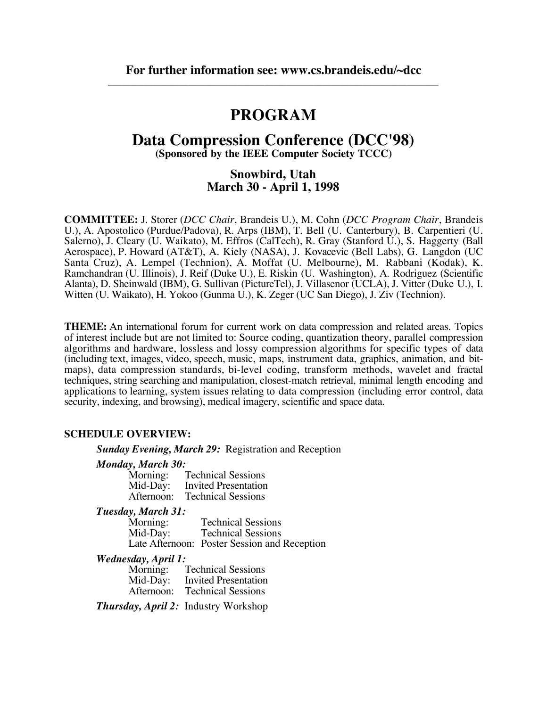# **PROGRAM**

## **Data Compression Conference (DCC'98)**

**(Sponsored by the IEEE Computer Society TCCC)**

### **Snowbird, Utah March 30 - April 1, 1998**

**COMMITTEE:** J. Storer (*DCC Chair*, Brandeis U.), M. Cohn (*DCC Program Chair*, Brandeis U.), A. Apostolico (Purdue/Padova), R. Arps (IBM), T. Bell (U. Canterbury), B. Carpentieri (U. Salerno), J. Cleary (U. Waikato), M. Effros (CalTech), R. Gray (Stanford U.), S. Haggerty (Ball Aerospace), P. Howard (AT&T), A. Kiely (NASA), J. Kovacevic (Bell Labs), G. Langdon (UC Santa Cruz), A. Lempel (Technion), A. Moffat (U. Melbourne), M. Rabbani (Kodak), K. Ramchandran (U. Illinois), J. Reif (Duke U.), E. Riskin (U. Washington), A. Rodriguez (Scientific Alanta), D. Sheinwald (IBM), G. Sullivan (PictureTel), J. Villasenor (UCLA), J. Vitter (Duke U.), I. Witten (U. Waikato), H. Yokoo (Gunma U.), K. Zeger (UC San Diego), J. Ziv (Technion).

**THEME:** An international forum for current work on data compression and related areas. Topics of interest include but are not limited to: Source coding, quantization theory, parallel compression algorithms and hardware, lossless and lossy compression algorithms for specific types of data (including text, images, video, speech, music, maps, instrument data, graphics, animation, and bitmaps), data compression standards, bi-level coding, transform methods, wavelet and fractal techniques, string searching and manipulation, closest-match retrieval, minimal length encoding and applications to learning, system issues relating to data compression (including error control, data security, indexing, and browsing), medical imagery, scientific and space data.

### **SCHEDULE OVERVIEW:**

*Sunday Evening, March 29:* Registration and Reception

### *Monday, March 30:*

| Morning:   | <b>Technical Sessions</b> |
|------------|---------------------------|
| Mid-Day:   | Invited Presentation      |
| Afternoon: | <b>Technical Sessions</b> |

#### *Tuesday, March 31:*

| .<br>Morning: | <b>Technical Sessions</b>                    |
|---------------|----------------------------------------------|
| Mid-Day:      | <b>Technical Sessions</b>                    |
|               | Late Afternoon: Poster Session and Reception |

#### *Wednesday, April 1:*

| Morning:   | <b>Technical Sessions</b>   |
|------------|-----------------------------|
| Mid-Day:   | <b>Invited Presentation</b> |
| Afternoon: | <b>Technical Sessions</b>   |

*Thursday, April 2:* Industry Workshop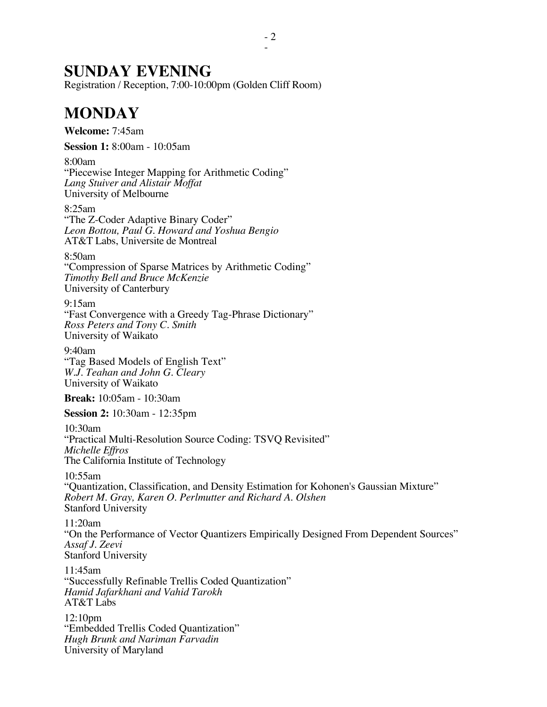# **SUNDAY EVENING**

Registration / Reception, 7:00-10:00pm (Golden Cliff Room)

# **MONDAY**

**Welcome:** 7:45am

**Session 1:** 8:00am - 10:05am

8:00am "Piecewise Integer Mapping for Arithmetic Coding" *Lang Stuiver and Alistair Moffat* University of Melbourne

8:25am

"The Z-Coder Adaptive Binary Coder" *Leon Bottou, Paul G. Howard and Yoshua Bengio* AT&T Labs, Universite de Montreal

8:50am

"Compression of Sparse Matrices by Arithmetic Coding" *Timothy Bell and Bruce McKenzie* University of Canterbury

9:15am "Fast Convergence with a Greedy Tag-Phrase Dictionary" *Ross Peters and Tony C. Smith* University of Waikato

9:40am "Tag Based Models of English Text" *W.J. Teahan and John G. Cleary* University of Waikato

**Break:** 10:05am - 10:30am

**Session 2:** 10:30am - 12:35pm

10:30am "Practical Multi-Resolution Source Coding: TSVQ Revisited" *Michelle Effros* The California Institute of Technology

10:55am

"Quantization, Classification, and Density Estimation for Kohonen's Gaussian Mixture" *Robert M. Gray, Karen O. Perlmutter and Richard A. Olshen* Stanford University

11:20am

"On the Performance of Vector Quantizers Empirically Designed From Dependent Sources" *Assaf J. Zeevi* Stanford University

11:45am "Successfully Refinable Trellis Coded Quantization" *Hamid Jafarkhani and Vahid Tarokh* AT&T Labs

12:10pm "Embedded Trellis Coded Quantization" *Hugh Brunk and Nariman Farvadin* University of Maryland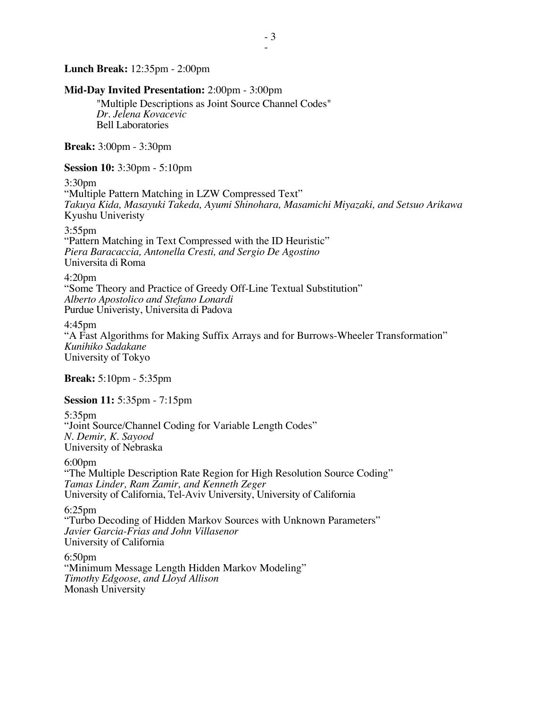**Lunch Break:** 12:35pm - 2:00pm

### **Mid-Day Invited Presentation:** 2:00pm - 3:00pm

"Multiple Descriptions as Joint Source Channel Codes" *Dr. Jelena Kovacevic* Bell Laboratories

**Break:** 3:00pm - 3:30pm

**Session 10:** 3:30pm - 5:10pm

3:30pm

"Multiple Pattern Matching in LZW Compressed Text" *Takuya Kida, Masayuki Takeda, Ayumi Shinohara, Masamichi Miyazaki, and Setsuo Arikawa* Kyushu Univeristy

3:55pm

"Pattern Matching in Text Compressed with the ID Heuristic" *Piera Baracaccia, Antonella Cresti, and Sergio De Agostino* Universita di Roma

4:20pm

"Some Theory and Practice of Greedy Off-Line Textual Substitution" *Alberto Apostolico and Stefano Lonardi* Purdue Univeristy, Universita di Padova

4:45pm "A Fast Algorithms for Making Suffix Arrays and for Burrows-Wheeler Transformation" *Kunihiko Sadakane* University of Tokyo

**Break:** 5:10pm - 5:35pm

**Session 11:** 5:35pm - 7:15pm

5:35pm "Joint Source/Channel Coding for Variable Length Codes" *N. Demir, K. Sayood* University of Nebraska

6:00pm "The Multiple Description Rate Region for High Resolution Source Coding" *Tamas Linder, Ram Zamir, and Kenneth Zeger* University of California, Tel-Aviv University, University of California

6:25pm "Turbo Decoding of Hidden Markov Sources with Unknown Parameters" *Javier Garcia-Frias and John Villasenor* University of California

6:50pm "Minimum Message Length Hidden Markov Modeling" *Timothy Edgoose, and Lloyd Allison* Monash University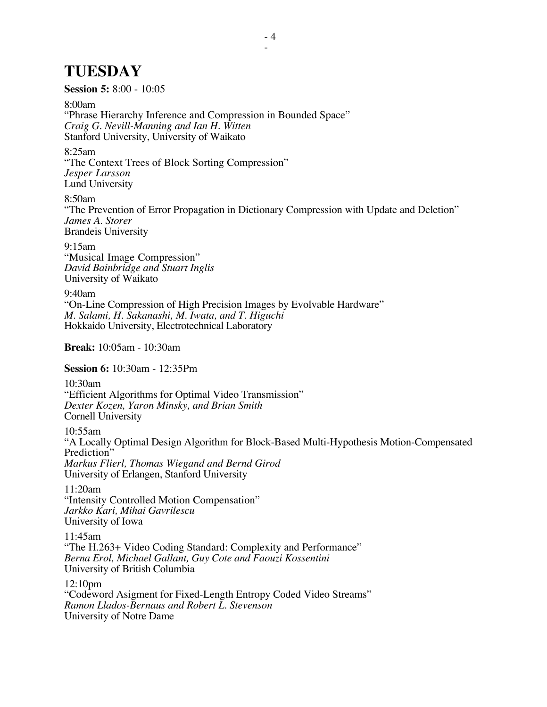# **TUESDAY**

**Session 5:** 8:00 - 10:05

8:00am

"Phrase Hierarchy Inference and Compression in Bounded Space" *Craig G. Nevill-Manning and Ian H. Witten* Stanford University, University of Waikato

8:25am

"The Context Trees of Block Sorting Compression" *Jesper Larsson* Lund University

8:50am

"The Prevention of Error Propagation in Dictionary Compression with Update and Deletion" *James A. Storer* Brandeis University

9:15am "Musical Image Compression" *David Bainbridge and Stuart Inglis* University of Waikato

9:40am "On-Line Compression of High Precision Images by Evolvable Hardware" *M. Salami, H. Sakanashi, M. Iwata, and T. Higuchi* Hokkaido University, Electrotechnical Laboratory

**Break:** 10:05am - 10:30am

**Session 6:** 10:30am - 12:35Pm

10:30am "Efficient Algorithms for Optimal Video Transmission" *Dexter Kozen, Yaron Minsky, and Brian Smith* Cornell University

10:55am "A Locally Optimal Design Algorithm for Block-Based Multi-Hypothesis Motion-Compensated Prediction<sup>"</sup> *Markus Flierl, Thomas Wiegand and Bernd Girod* University of Erlangen, Stanford University

11:20am "Intensity Controlled Motion Compensation" *Jarkko Kari, Mihai Gavrilescu* University of Iowa

11:45am "The H.263+ Video Coding Standard: Complexity and Performance" *Berna Erol, Michael Gallant, Guy Cote and Faouzi Kossentini* University of British Columbia

12:10pm "Codeword Asigment for Fixed-Length Entropy Coded Video Streams" *Ramon Llados-Bernaus and Robert L. Stevenson* University of Notre Dame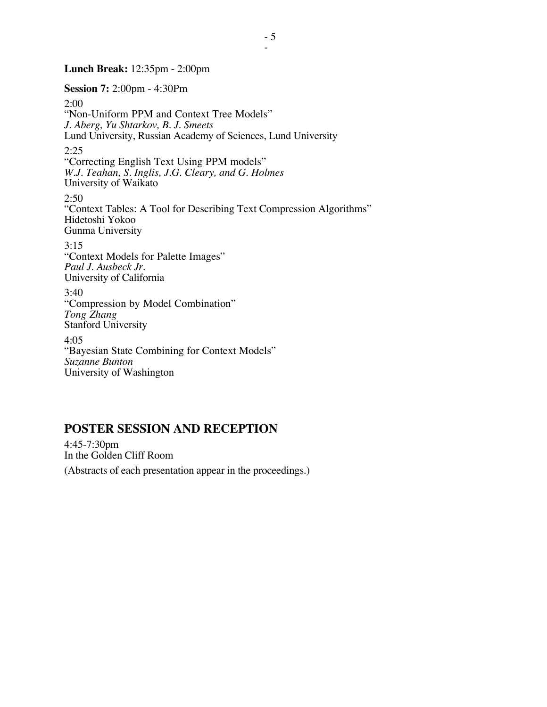### **Lunch Break:** 12:35pm - 2:00pm

**Session 7:** 2:00pm - 4:30Pm

2:00 "Non-Uniform PPM and Context Tree Models" *J. Aberg, Yu Shtarkov, B. J. Smeets* Lund University, Russian Academy of Sciences, Lund University 2:25 "Correcting English Text Using PPM models" *W.J. Teahan, S. Inglis, J.G. Cleary, and G. Holmes* University of Waikato  $2:50$ "Context Tables: A Tool for Describing Text Compression Algorithms" Hidetoshi Yokoo Gunma University 3:15 "Context Models for Palette Images" *Paul J. Ausbeck Jr.* University of California 3:40 "Compression by Model Combination" *Tong Zhang* Stanford University 4:05 "Bayesian State Combining for Context Models" *Suzanne Bunton* University of Washington

## **POSTER SESSION AND RECEPTION**

4:45-7:30pm In the Golden Cliff Room

(Abstracts of each presentation appear in the proceedings.)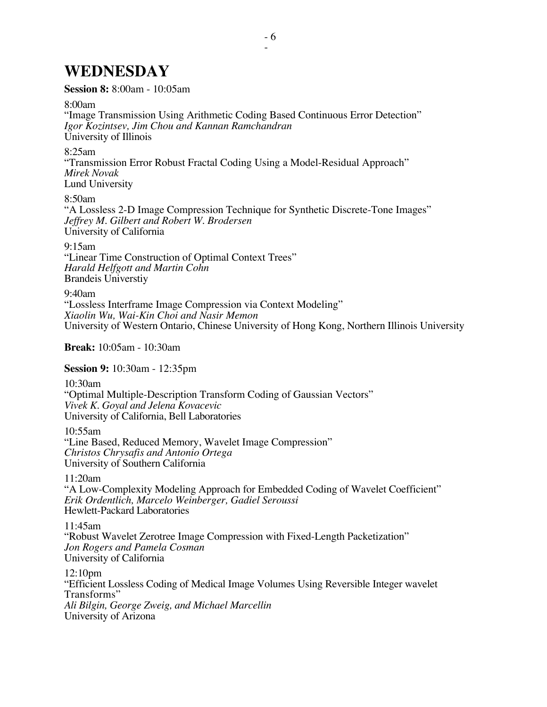# **WEDNESDAY**

### **Session 8:** 8:00am - 10:05am

### 8:00am

"Image Transmission Using Arithmetic Coding Based Continuous Error Detection" *Igor Kozintsev, Jim Chou and Kannan Ramchandran* University of Illinois

### 8:25am

"Transmission Error Robust Fractal Coding Using a Model-Residual Approach" *Mirek Novak* Lund University

### 8:50am

"A Lossless 2-D Image Compression Technique for Synthetic Discrete-Tone Images" *Jeffrey M. Gilbert and Robert W. Brodersen* University of California

9:15am

"Linear Time Construction of Optimal Context Trees" *Harald Helfgott and Martin Cohn* Brandeis Universtiy

### 9:40am

"Lossless Interframe Image Compression via Context Modeling" *Xiaolin Wu, Wai-Kin Choi and Nasir Memon* University of Western Ontario, Chinese University of Hong Kong, Northern Illinois University

### **Break:** 10:05am - 10:30am

**Session 9:** 10:30am - 12:35pm

10:30am

"Optimal Multiple-Description Transform Coding of Gaussian Vectors" *Vivek K. Goyal and Jelena Kovacevic* University of California, Bell Laboratories

10:55am

"Line Based, Reduced Memory, Wavelet Image Compression" *Christos Chrysafis and Antonio Ortega* University of Southern California

11:20am

"A Low-Complexity Modeling Approach for Embedded Coding of Wavelet Coefficient" *Erik Ordentlich, Marcelo Weinberger, Gadiel Seroussi* Hewlett-Packard Laboratories

### 11:45am

"Robust Wavelet Zerotree Image Compression with Fixed-Length Packetization" *Jon Rogers and Pamela Cosman* University of California

12:10pm

"Efficient Lossless Coding of Medical Image Volumes Using Reversible Integer wavelet Transforms" *Ali Bilgin, George Zweig, and Michael Marcellin* University of Arizona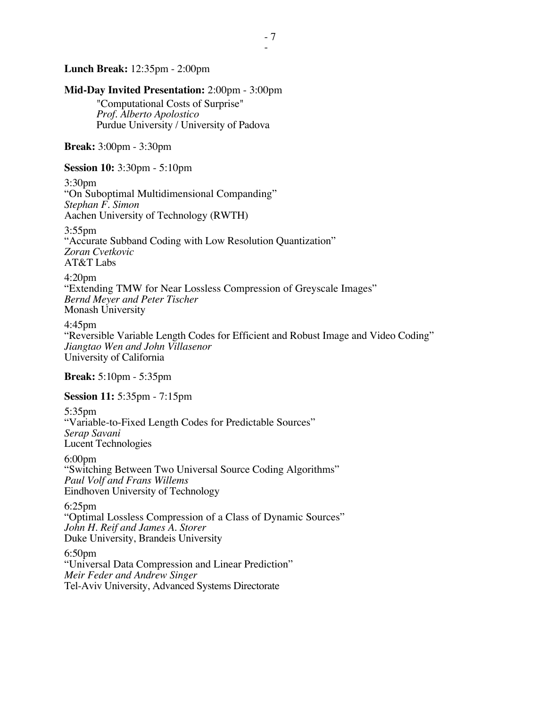### **Lunch Break:** 12:35pm - 2:00pm

**Mid-Day Invited Presentation:** 2:00pm - 3:00pm "Computational Costs of Surprise" *Prof. Alberto Apolostico* Purdue University / University of Padova **Break:** 3:00pm - 3:30pm **Session 10:** 3:30pm - 5:10pm 3:30pm "On Suboptimal Multidimensional Companding" *Stephan F. Simon* Aachen University of Technology (RWTH) 3:55pm "Accurate Subband Coding with Low Resolution Quantization" *Zoran Cvetkovic* AT&T Labs 4:20pm "Extending TMW for Near Lossless Compression of Greyscale Images" *Bernd Meyer and Peter Tischer* Monash University 4:45pm "Reversible Variable Length Codes for Efficient and Robust Image and Video Coding" *Jiangtao Wen and John Villasenor* University of California **Break:** 5:10pm - 5:35pm **Session 11:** 5:35pm - 7:15pm 5:35pm "Variable-to-Fixed Length Codes for Predictable Sources" *Serap Savani* Lucent Technologies 6:00pm "Switching Between Two Universal Source Coding Algorithms" *Paul Volf and Frans Willems* Eindhoven University of Technology 6:25pm "Optimal Lossless Compression of a Class of Dynamic Sources" *John H. Reif and James A. Storer* Duke University, Brandeis University 6:50pm "Universal Data Compression and Linear Prediction" *Meir Feder and Andrew Singer* Tel-Aviv University, Advanced Systems Directorate